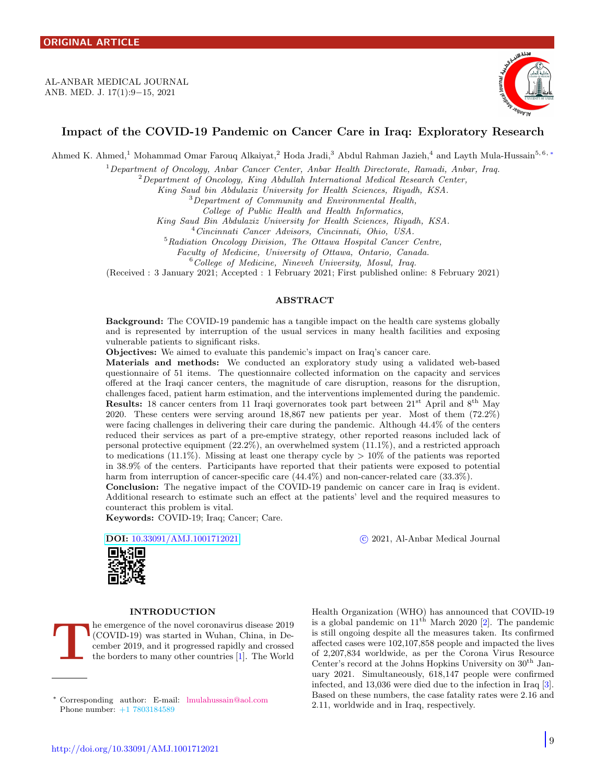<span id="page-0-1"></span>AL-ANBAR MEDICAL JOURNAL ANB. MED. J. 17(1):9−15, 2021



# Impact of the COVID-19 Pandemic on Cancer Care in Iraq: Exploratory Research

Ahmed K. Ahmed,<sup>1</sup> Mohammad Omar Farouq Alkaiyat,<sup>2</sup> Hoda Jradi,<sup>3</sup> Abdul Rahman Jazieh,<sup>4</sup> and Layth Mula-Hussain<sup>5,6,\*</sup>

<sup>1</sup>Department of Oncology, Anbar Cancer Center, Anbar Health Directorate, Ramadi, Anbar, Iraq.

 $2$ Department of Oncology, King Abdullah International Medical Research Center,

King Saud bin Abdulaziz University for Health Sciences, Riyadh, KSA.

<sup>3</sup>Department of Community and Environmental Health,

College of Public Health and Health Informatics,

King Saud Bin Abdulaziz University for Health Sciences, Riyadh, KSA.

<sup>4</sup>Cincinnati Cancer Advisors, Cincinnati, Ohio, USA.

<sup>5</sup>Radiation Oncology Division, The Ottawa Hospital Cancer Centre,

Faculty of Medicine, University of Ottawa, Ontario, Canada.

<sup>6</sup>College of Medicine, Nineveh University, Mosul, Iraq.

(Received : 3 January 2021; Accepted : 1 February 2021; First published online: 8 February 2021)

# ABSTRACT

Background: The COVID-19 pandemic has a tangible impact on the health care systems globally and is represented by interruption of the usual services in many health facilities and exposing vulnerable patients to significant risks.

Objectives: We aimed to evaluate this pandemic's impact on Iraq's cancer care.

Materials and methods: We conducted an exploratory study using a validated web-based questionnaire of 51 items. The questionnaire collected information on the capacity and services offered at the Iraqi cancer centers, the magnitude of care disruption, reasons for the disruption, challenges faced, patient harm estimation, and the interventions implemented during the pandemic. Results: 18 cancer centers from 11 Iraqi governorates took part between 21st April and 8th May 2020. These centers were serving around 18,867 new patients per year. Most of them (72.2%) were facing challenges in delivering their care during the pandemic. Although 44.4% of the centers reduced their services as part of a pre-emptive strategy, other reported reasons included lack of personal protective equipment (22.2%), an overwhelmed system (11.1%), and a restricted approach to medications (11.1%). Missing at least one therapy cycle by  $> 10\%$  of the patients was reported in 38.9% of the centers. Participants have reported that their patients were exposed to potential harm from interruption of cancer-specific care  $(44.4\%)$  and non-cancer-related care  $(33.3\%)$ .

Conclusion: The negative impact of the COVID-19 pandemic on cancer care in Iraq is evident. Additional research to estimate such an effect at the patients' level and the required measures to counteract this problem is vital.

Keywords: COVID-19; Iraq; Cancer; Care.

DOI: [10.33091/AMJ.1001712021](http://dx.doi.org/10.33091/AMJ.1001712021) c 2021, Al-Anbar Medical Journal



## INTRODUCTION

T he emergence of the novel coronavirus disease 2019 (COVID-19) was started in Wuhan, China, in December 2019, and it progressed rapidly and crossed the borders to many other countries [\[1\]](#page-5-0). The World

<span id="page-0-0"></span><sup>∗</sup> Corresponding author: E-mail: [lmulahussain@aol.com](mailto:lmulahussain@aol.com \hskip 2.0em) Phone number: +1 7803184589

Health Organization (WHO) has announced that COVID-19 is a global pandemic on  $11^{th}$  March 2020 [\[2\]](#page-5-1). The pandemic is still ongoing despite all the measures taken. Its confirmed affected cases were 102,107,858 people and impacted the lives of 2,207,834 worldwide, as per the Corona Virus Resource Center's record at the Johns Hopkins University on  $30<sup>th</sup>$  January 2021. Simultaneously, 618,147 people were confirmed infected, and 13,036 were died due to the infection in Iraq [\[3\]](#page-5-2). Based on these numbers, the case fatality rates were 2.16 and 2.11, worldwide and in Iraq, respectively.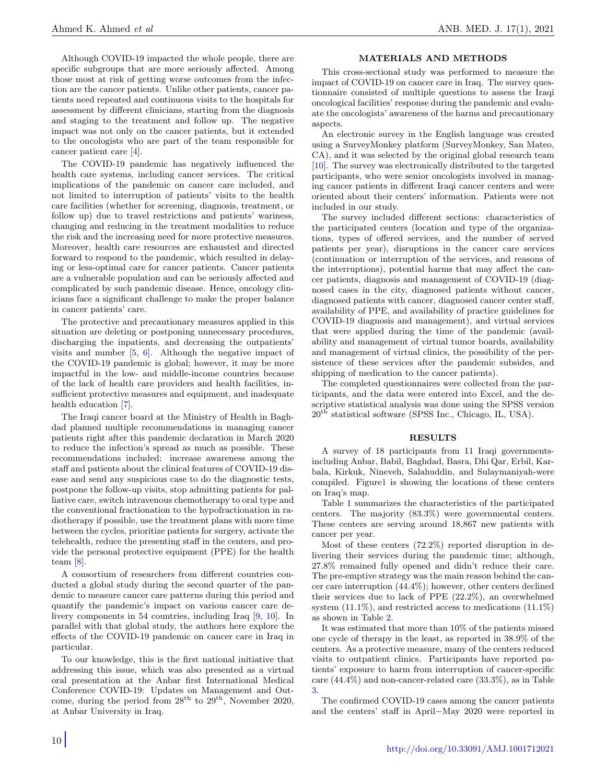Although COVID-19 impacted the whole people, there are specific subgroups that are more seriously affected. Among those most at risk of getting worse outcomes from the infection are the cancer patients. Unlike other patients, cancer patients need repeated and continuous visits to the hospitals for assessment by different clinicians, starting from the diagnosis and staging to the treatment and follow up. The negative impact was not only on the cancer patients, but it extended to the oncologists who are part of the team responsible for cancer patient care [\[4\]](#page-5-3).

The COVID-19 pandemic has negatively influenced the health care systems, including cancer services. The critical implications of the pandemic on cancer care included, and not limited to interruption of patients' visits to the health care facilities (whether for screening, diagnosis, treatment, or follow up) due to travel restrictions and patients' wariness, changing and reducing in the treatment modalities to reduce the risk and the increasing need for more protective measures. Moreover, health care resources are exhausted and directed forward to respond to the pandemic, which resulted in delaying or less-optimal care for cancer patients. Cancer patients are a vulnerable population and can be seriously affected and complicated by such pandemic disease. Hence, oncology clinicians face a significant challenge to make the proper balance in cancer patients' care.

The protective and precautionary measures applied in this situation are deleting or postponing unnecessary procedures, discharging the inpatients, and decreasing the outpatients' visits and number  $[5, 6]$  $[5, 6]$  $[5, 6]$ . Although the negative impact of the COVID-19 pandemic is global; however, it may be more impactful in the low- and middle-income countries because of the lack of health care providers and health facilities, insufficient protective measures and equipment, and inadequate health education [\[7\]](#page-5-6).

The Iraqi cancer board at the Ministry of Health in Baghdad planned multiple recommendations in managing cancer patients right after this pandemic declaration in March 2020 to reduce the infection's spread as much as possible. These recommendations included: increase awareness among the staff and patients about the clinical features of COVID-19 disease and send any suspicious case to do the diagnostic tests, postpone the follow-up visits, stop admitting patients for palliative care, switch intravenous chemotherapy to oral type and the conventional fractionation to the hypofractionation in radiotherapy if possible, use the treatment plans with more time between the cycles, prioritize patients for surgery, activate the telehealth, reduce the presenting staff in the centers, and provide the personal protective equipment (PPE) for the health team [\[8\]](#page-5-7).

A consortium of researchers from different countries conducted a global study during the second quarter of the pandemic to measure cancer care patterns during this period and quantify the pandemic's impact on various cancer care delivery components in 54 countries, including Iraq [\[9,](#page-5-8) [10\]](#page-5-9). In parallel with that global study, the authors here explore the effects of the COVID-19 pandemic on cancer care in Iraq in particular.

To our knowledge, this is the first national initiative that addressing this issue, which was also presented as a virtual oral presentation at the Anbar first International Medical Conference COVID-19: Updates on Management and Outcome, during the period from  $28<sup>th</sup>$  to  $29<sup>th</sup>$ , November 2020, at Anbar University in Iraq.

## MATERIALS AND METHODS

This cross-sectional study was performed to measure the impact of COVID-19 on cancer care in Iraq. The survey questionnaire consisted of multiple questions to assess the Iraqi oncological facilities' response during the pandemic and evaluate the oncologists' awareness of the harms and precautionary aspects.

An electronic survey in the English language was created using a SurveyMonkey platform (SurveyMonkey, San Mateo, CA), and it was selected by the original global research team [\[10\]](#page-5-9). The survey was electronically distributed to the targeted participants, who were senior oncologists involved in managing cancer patients in different Iraqi cancer centers and were oriented about their centers' information. Patients were not included in our study.

The survey included different sections: characteristics of the participated centers (location and type of the organizations, types of offered services, and the number of served patients per year), disruptions in the cancer care services (continuation or interruption of the services, and reasons of the interruptions), potential harms that may affect the cancer patients, diagnosis and management of COVID-19 (diagnosed cases in the city, diagnosed patients without cancer, diagnosed patients with cancer, diagnosed cancer center staff, availability of PPE, and availability of practice guidelines for COVID-19 diagnosis and management), and virtual services that were applied during the time of the pandemic (availability and management of virtual tumor boards, availability and management of virtual clinics, the possibility of the persistence of these services after the pandemic subsides, and shipping of medication to the cancer patients).

The completed questionnaires were collected from the participants, and the data were entered into Excel, and the descriptive statistical analysis was done using the SPSS version 20th statistical software (SPSS Inc., Chicago, IL, USA).

#### RESULTS

A survey of 18 participants from 11 Iraqi governmentsincluding Anbar, Babil, Baghdad, Basra, Dhi Qar, Erbil, Karbala, Kirkuk, Nineveh, Salahuddin, and Sulaymaniyah-were compiled. Figur[e1](#page-2-0) is showing the locations of these centers on Iraq's map.

Table [1](#page-2-1) summarizes the characteristics of the participated centers. The majority (83.3%) were governmental centers. These centers are serving around 18,867 new patients with cancer per year.

Most of these centers (72.2%) reported disruption in delivering their services during the pandemic time; although, 27.8% remained fully opened and didn't reduce their care. The pre-emptive strategy was the main reason behind the cancer care interruption (44.4%); however, other centers declined their services due to lack of PPE (22.2%), an overwhelmed system (11.1%), and restricted access to medications (11.1%) as shown in Table [2.](#page-3-0)

It was estimated that more than 10% of the patients missed one cycle of therapy in the least, as reported in 38.9% of the centers. As a protective measure, many of the centers reduced visits to outpatient clinics. Participants have reported patients' exposure to harm from interruption of cancer-specific care (44.4%) and non-cancer-related care (33.3%), as in Table [3.](#page-3-1)

The confirmed COVID-19 cases among the cancer patients and the centers' staff in April−May 2020 were reported in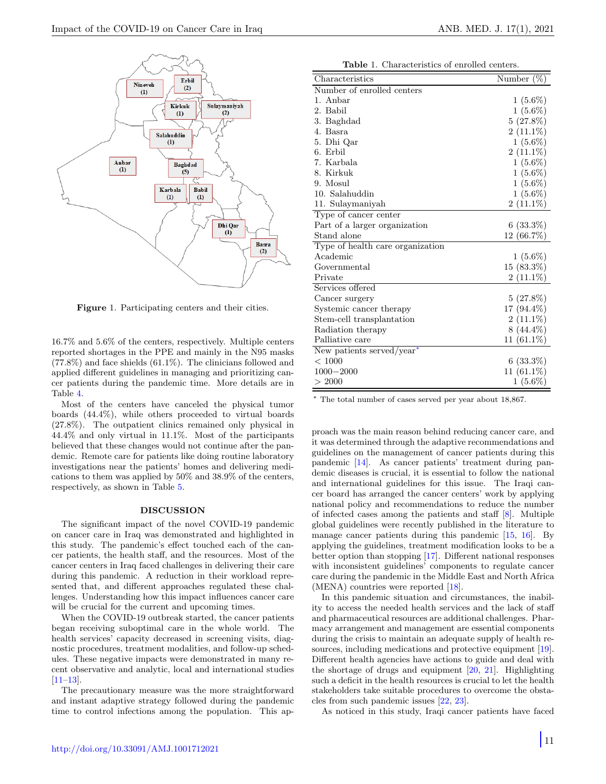

<span id="page-2-0"></span>Figure 1. Participating centers and their cities.

16.7% and 5.6% of the centers, respectively. Multiple centers reported shortages in the PPE and mainly in the N95 masks (77.8%) and face shields (61.1%). The clinicians followed and applied different guidelines in managing and prioritizing cancer patients during the pandemic time. More details are in Table [4.](#page-4-0)

Most of the centers have canceled the physical tumor boards (44.4%), while others proceeded to virtual boards (27.8%). The outpatient clinics remained only physical in 44.4% and only virtual in 11.1%. Most of the participants believed that these changes would not continue after the pandemic. Remote care for patients like doing routine laboratory investigations near the patients' homes and delivering medications to them was applied by 50% and 38.9% of the centers, respectively, as shown in Table [5.](#page-4-1)

#### DISCUSSION

The significant impact of the novel COVID-19 pandemic on cancer care in Iraq was demonstrated and highlighted in this study. The pandemic's effect touched each of the cancer patients, the health staff, and the resources. Most of the cancer centers in Iraq faced challenges in delivering their care during this pandemic. A reduction in their workload represented that, and different approaches regulated these challenges. Understanding how this impact influences cancer care will be crucial for the current and upcoming times.

When the COVID-19 outbreak started, the cancer patients began receiving suboptimal care in the whole world. The health services' capacity decreased in screening visits, diagnostic procedures, treatment modalities, and follow-up schedules. These negative impacts were demonstrated in many recent observative and analytic, local and international studies [\[11](#page-5-10)[–13\]](#page-5-11).

The precautionary measure was the more straightforward and instant adaptive strategy followed during the pandemic time to control infections among the population. This ap-

Table 1. Characteristics of enrolled centers.

<span id="page-2-1"></span>

| Characteristics                  | Number $(\%)$ |
|----------------------------------|---------------|
| Number of enrolled centers       |               |
| 1. Anbar                         | $1(5.6\%)$    |
| 2. Babil                         | $1(5.6\%)$    |
| 3. Baghdad                       | $5(27.8\%)$   |
| 4. Basra                         | $2(11.1\%)$   |
| 5. Dhi Qar                       | $1(5.6\%)$    |
| 6. Erbil                         | $2(11.1\%)$   |
| 7. Karbala                       | $1(5.6\%)$    |
| 8. Kirkuk                        | $1(5.6\%)$    |
| 9. Mosul                         | $1(5.6\%)$    |
| 10. Salahuddin                   | $1(5.6\%)$    |
| 11. Sulaymaniyah                 | $2(11.1\%)$   |
| Type of cancer center            |               |
| Part of a larger organization    | $6(33.3\%)$   |
| Stand alone                      | 12 (66.7%)    |
| Type of health care organization |               |
| Academic                         | $1(5.6\%)$    |
| Governmental                     | $15(83.3\%)$  |
| Private                          | $2(11.1\%)$   |
| Services offered                 |               |
| Cancer surgery                   | $5(27.8\%)$   |
| Systemic cancer therapy          | 17 (94.4%)    |
| Stem-cell transplantation        | $2(11.1\%)$   |
| Radiation therapy                | $8(44.4\%)$   |
| Palliative care                  | $11(61.1\%)$  |
| New patients served/year*        |               |
| ${}< 1000$                       | $6(33.3\%)$   |
| $1000 - 2000$                    | $11(61.1\%)$  |
| > 2000                           | $1(5.6\%)$    |

<sup>∗</sup> The total number of cases served per year about 18,867.

proach was the main reason behind reducing cancer care, and it was determined through the adaptive recommendations and guidelines on the management of cancer patients during this pandemic [\[14\]](#page-5-12). As cancer patients' treatment during pandemic diseases is crucial, it is essential to follow the national and international guidelines for this issue. The Iraqi cancer board has arranged the cancer centers' work by applying national policy and recommendations to reduce the number of infected cases among the patients and staff [\[8\]](#page-5-7). Multiple global guidelines were recently published in the literature to manage cancer patients during this pandemic [\[15,](#page-5-13) [16\]](#page-5-14). By applying the guidelines, treatment modification looks to be a better option than stopping [\[17\]](#page-5-15). Different national responses with inconsistent guidelines' components to regulate cancer care during the pandemic in the Middle East and North Africa (MENA) countries were reported [\[18\]](#page-5-16).

In this pandemic situation and circumstances, the inability to access the needed health services and the lack of staff and pharmaceutical resources are additional challenges. Pharmacy arrangement and management are essential components during the crisis to maintain an adequate supply of health re-sources, including medications and protective equipment [\[19\]](#page-5-17). Different health agencies have actions to guide and deal with the shortage of drugs and equipment [\[20,](#page-5-18) [21\]](#page-5-19). Highlighting such a deficit in the health resources is crucial to let the health stakeholders take suitable procedures to overcome the obstacles from such pandemic issues [\[22,](#page-5-20) [23\]](#page-5-21).

As noticed in this study, Iraqi cancer patients have faced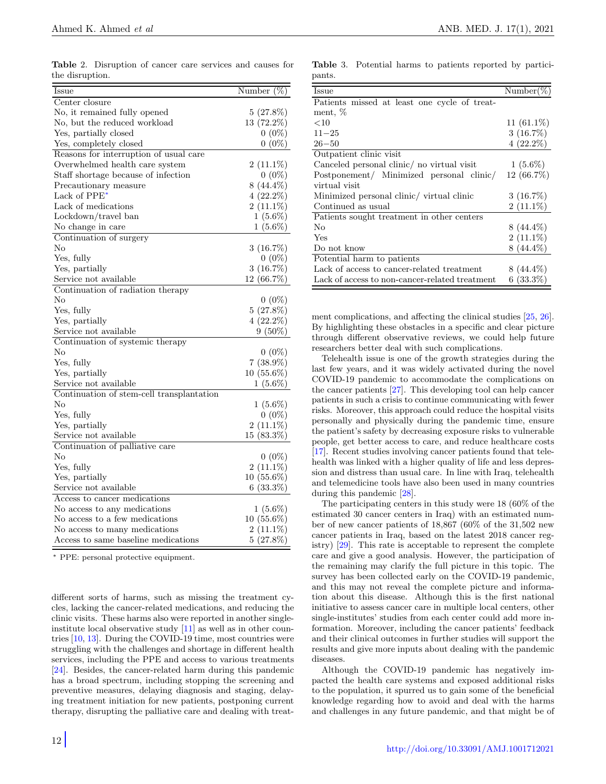<span id="page-3-0"></span>Table 2. Disruption of cancer care services and causes for the disruption.

| Issue                                     | Number $(\%)$ |
|-------------------------------------------|---------------|
| Center closure                            |               |
| No, it remained fully opened              | $5(27.8\%)$   |
| No, but the reduced workload              | 13 (72.2%)    |
| Yes, partially closed                     | $0(0\%)$      |
| Yes, completely closed                    | $0(0\%)$      |
| Reasons for interruption of usual care    |               |
| Overwhelmed health care system            | $2(11.1\%)$   |
| Staff shortage because of infection       | $0(0\%)$      |
| Precautionary measure                     | $8(44.4\%)$   |
| Lack of PPE <sup>*</sup>                  | $4(22.2\%)$   |
| Lack of medications                       | $2(11.1\%)$   |
| $Lockdown/travel$ ban                     | $1(5.6\%)$    |
| No change in care                         | $1(5.6\%)$    |
| Continuation of surgery                   |               |
| No                                        | $3(16.7\%)$   |
| Yes, fully                                | $0(0\%)$      |
| Yes, partially                            | 3(16.7%)      |
| Service not available                     | $12(66.7\%)$  |
| Continuation of radiation therapy         |               |
| No                                        | $0(0\%)$      |
| Yes, fully                                | $5(27.8\%)$   |
| Yes, partially                            | $4(22.2\%)$   |
| Service not available                     | $9(50\%)$     |
| Continuation of systemic therapy          |               |
| No                                        | $0(0\%)$      |
| Yes, fully                                | $7(38.9\%)$   |
| Yes, partially                            | $10(55.6\%)$  |
| Service not available                     | $1(5.6\%)$    |
| Continuation of stem-cell transplantation |               |
| No                                        | $1(5.6\%)$    |
| Yes, fully                                | $0(0\%)$      |
| Yes, partially                            | $2(11.1\%)$   |
| Service not available                     | $15(83.3\%)$  |
| Continuation of palliative care           |               |
| No                                        | $0(0\%)$      |
| Yes, fully                                | $2(11.1\%)$   |
| Yes, partially                            | $10(55.6\%)$  |
| Service not available                     | $6(33.3\%)$   |
| Access to cancer medications              |               |
| No access to any medications              | $1(5.6\%)$    |
| No access to a few medications            | $10(55.6\%)$  |
| No access to many medications             | $2(11.1\%)$   |
| Access to same baseline medications       | $5(27.8\%)$   |

<sup>∗</sup> PPE: personal protective equipment.

different sorts of harms, such as missing the treatment cycles, lacking the cancer-related medications, and reducing the clinic visits. These harms also were reported in another singleinstitute local observative study [\[11\]](#page-5-10) as well as in other countries [\[10,](#page-5-9) [13\]](#page-5-11). During the COVID-19 time, most countries were struggling with the challenges and shortage in different health services, including the PPE and access to various treatments [\[24\]](#page-5-22). Besides, the cancer-related harm during this pandemic has a broad spectrum, including stopping the screening and preventive measures, delaying diagnosis and staging, delaying treatment initiation for new patients, postponing current therapy, disrupting the palliative care and dealing with treat-

<span id="page-3-1"></span>Table 3. Potential harms to patients reported by participants.

| <b>Issue</b>                                   | Number $(\%)$ |
|------------------------------------------------|---------------|
| Patients missed at least one cycle of treat-   |               |
| ment, %                                        |               |
| <10                                            | 11 $(61.1\%)$ |
| $11 - 25$                                      | $3(16.7\%)$   |
| $26 - 50$                                      | $4(22.2\%)$   |
| Outpatient clinic visit                        |               |
| Canceled personal clinic/ no virtual visit     | $1(5.6\%)$    |
| Postponement/ Minimized personal clinic/       | $12(66.7\%)$  |
| virtual visit                                  |               |
| Minimized personal clinic/ virtual clinic      | $3(16.7\%)$   |
| Continued as usual                             | $2(11.1\%)$   |
| Patients sought treatment in other centers     |               |
| No                                             | $8(44.4\%)$   |
| Yes                                            | $2(11.1\%)$   |
| Do not know                                    | $8(44.4\%)$   |
| Potential harm to patients                     |               |
| Lack of access to cancer-related treatment     | $8(44.4\%)$   |
| Lack of access to non-cancer-related treatment | $6(33.3\%)$   |

ment complications, and affecting the clinical studies [\[25,](#page-5-23) [26\]](#page-6-0). By highlighting these obstacles in a specific and clear picture through different observative reviews, we could help future researchers better deal with such complications.

Telehealth issue is one of the growth strategies during the last few years, and it was widely activated during the novel COVID-19 pandemic to accommodate the complications on the cancer patients [\[27\]](#page-6-1). This developing tool can help cancer patients in such a crisis to continue communicating with fewer risks. Moreover, this approach could reduce the hospital visits personally and physically during the pandemic time, ensure the patient's safety by decreasing exposure risks to vulnerable people, get better access to care, and reduce healthcare costs [\[17\]](#page-5-15). Recent studies involving cancer patients found that telehealth was linked with a higher quality of life and less depression and distress than usual care. In line with Iraq, telehealth and telemedicine tools have also been used in many countries during this pandemic [\[28\]](#page-6-2).

The participating centers in this study were 18 (60% of the estimated 30 cancer centers in Iraq) with an estimated number of new cancer patients of 18,867 (60% of the 31,502 new cancer patients in Iraq, based on the latest 2018 cancer registry) [\[29\]](#page-6-3). This rate is acceptable to represent the complete care and give a good analysis. However, the participation of the remaining may clarify the full picture in this topic. The survey has been collected early on the COVID-19 pandemic, and this may not reveal the complete picture and information about this disease. Although this is the first national initiative to assess cancer care in multiple local centers, other single-institutes' studies from each center could add more information. Moreover, including the cancer patients' feedback and their clinical outcomes in further studies will support the results and give more inputs about dealing with the pandemic diseases.

Although the COVID-19 pandemic has negatively impacted the health care systems and exposed additional risks to the population, it spurred us to gain some of the beneficial knowledge regarding how to avoid and deal with the harms and challenges in any future pandemic, and that might be of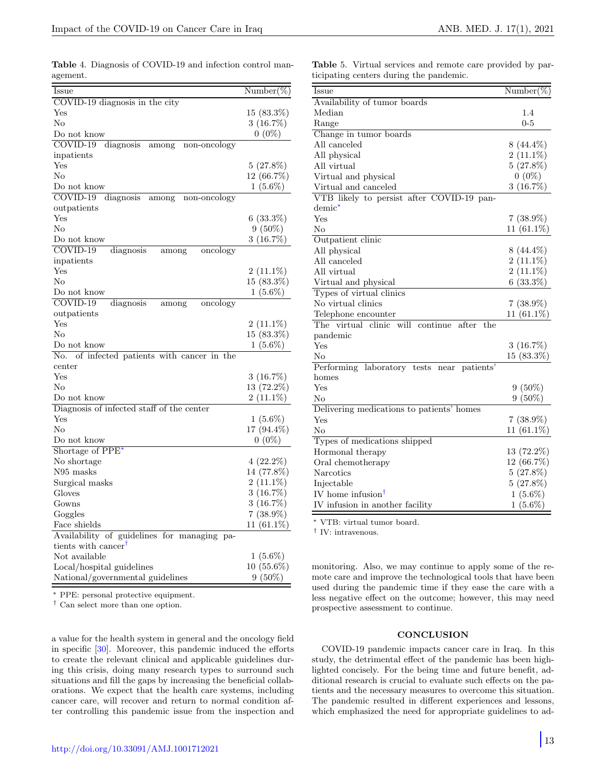| $Number(\%)$  |
|---------------|
|               |
| $15(83.3\%)$  |
| $3(16.7\%)$   |
| $0(0\%)$      |
|               |
|               |
| $5(27.8\%)$   |
| 12 (66.7%)    |
| $1(5.6\%)$    |
|               |
|               |
| $6(33.3\%)$   |
| $9(50\%)$     |
| 3(16.7%)      |
|               |
|               |
| $2(11.1\%)$   |
| $15(83.3\%)$  |
| $1(5.6\%)$    |
|               |
|               |
| $2(11.1\%)$   |
| $15(83.3\%)$  |
| $1(5.6\%)$    |
|               |
|               |
| $3(16.7\%)$   |
| 13 (72.2%)    |
| $2(11.1\%)$   |
|               |
| $1(5.6\%)$    |
| 17 (94.4%)    |
| $0(0\%)$      |
|               |
| $4(22.2\%)$   |
| 14 (77.8%)    |
| $2(11.1\%)$   |
| $3(16.7\%)$   |
| $3(16.7\%)$   |
| $7(38.9\%)$   |
| 11 $(61.1\%)$ |
|               |
|               |
| $1(5.6\%)$    |
| $10(55.6\%)$  |
| $9(50\%)$     |
|               |

<span id="page-4-0"></span>Table 4. Diagnosis of COVID-19 and infection control management.

PPE: personal protective equipment.

 $^\dagger$  Can select more than one option.

a value for the health system in general and the oncology field in specific [\[30\]](#page-6-4). Moreover, this pandemic induced the efforts to create the relevant clinical and applicable guidelines during this crisis, doing many research types to surround such situations and fill the gaps by increasing the beneficial collaborations. We expect that the health care systems, including cancer care, will recover and return to normal condition after controlling this pandemic issue from the inspection and <span id="page-4-1"></span>Table 5. Virtual services and remote care provided by participating centers during the pandemic.

| Issue                                            | $Number(\%)$ |
|--------------------------------------------------|--------------|
| Availability of tumor boards                     |              |
| Median                                           | 1.4          |
| Range                                            | $0 - 5$      |
| Change in tumor boards                           |              |
| All canceled                                     | $8(44.4\%)$  |
| All physical                                     | $2(11.1\%)$  |
| All virtual                                      | $5(27.8\%)$  |
| Virtual and physical                             | $0(0\%)$     |
| Virtual and canceled                             | 3(16.7%)     |
| VTB likely to persist after COVID-19 pan-        |              |
| $demic^*$                                        |              |
| Yes                                              | $7(38.9\%)$  |
| No                                               | $11(61.1\%)$ |
| Outpatient clinic                                |              |
| All physical                                     | $8(44.4\%)$  |
| All canceled                                     | $2(11.1\%)$  |
| All virtual                                      | $2(11.1\%)$  |
| Virtual and physical                             | $6(33.3\%)$  |
| Types of virtual clinics                         |              |
| No virtual clinics                               | $7(38.9\%)$  |
| Telephone encounter                              | $11(61.1\%)$ |
| The virtual clinic will<br>continue after<br>the |              |
| pandemic                                         |              |
| Yes                                              | $3(16.7\%)$  |
| No                                               | $15(83.3\%)$ |
| Performing laboratory tests near<br>patients'    |              |
| homes                                            |              |
| Yes                                              | $9(50\%)$    |
| No                                               | $9(50\%)$    |
| Delivering medications to patients' homes        |              |
| Yes                                              | $7(38.9\%)$  |
| No                                               | $11(61.1\%)$ |
| Types of medications shipped                     |              |
| Hormonal therapy                                 | $13(72.2\%)$ |
| Oral chemotherapy                                | $12(66.7\%)$ |
| Narcotics                                        | $5(27.8\%)$  |
| Injectable                                       | $5(27.8\%)$  |
| IV home infusion <sup>†</sup>                    | $1(5.6\%)$   |
| IV infusion in another facility                  | $1(5.6\%)$   |
|                                                  |              |

<sup>∗</sup> VTB: virtual tumor board.

† IV: intravenous.

monitoring. Also, we may continue to apply some of the remote care and improve the technological tools that have been used during the pandemic time if they ease the care with a less negative effect on the outcome; however, this may need prospective assessment to continue.

#### **CONCLUSION**

COVID-19 pandemic impacts cancer care in Iraq. In this study, the detrimental effect of the pandemic has been highlighted concisely. For the being time and future benefit, additional research is crucial to evaluate such effects on the patients and the necessary measures to overcome this situation. The pandemic resulted in different experiences and lessons, which emphasized the need for appropriate guidelines to ad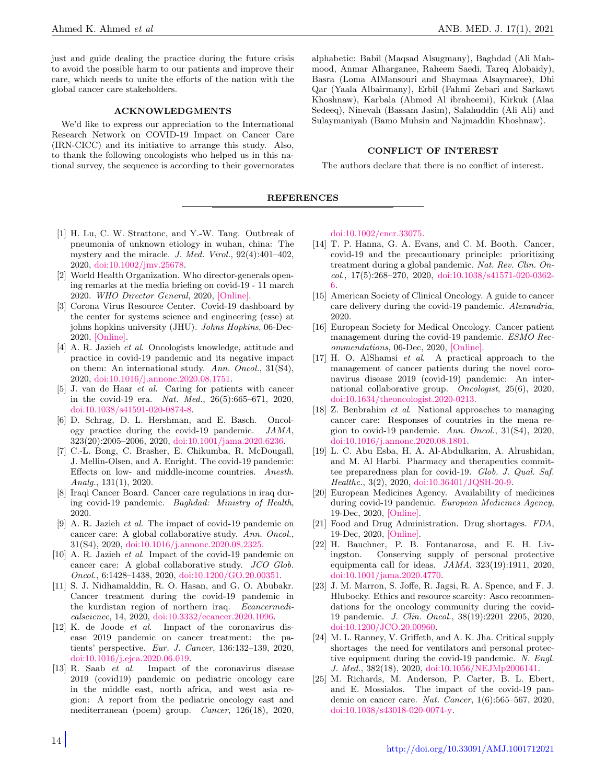just and guide dealing the practice during the future crisis to avoid the possible harm to our patients and improve their care, which needs to unite the efforts of the nation with the global cancer care stakeholders.

### ACKNOWLEDGMENTS

We'd like to express our appreciation to the International Research Network on COVID-19 Impact on Cancer Care (IRN-CICC) and its initiative to arrange this study. Also, to thank the following oncologists who helped us in this national survey, the sequence is according to their governorates alphabetic: Babil (Maqsad Alsugmany), Baghdad (Ali Mahmood, Anmar Alharganee, Raheem Saedi, Tareq Alobaidy), Basra (Loma AlMansouri and Shaymaa Alsaymaree), Dhi Qar (Yaala Albairmany), Erbil (Fahmi Zebari and Sarkawt Khoshnaw), Karbala (Ahmed Al ibraheemi), Kirkuk (Alaa Sedeeq), Ninevah (Bassam Jasim), Salahuddin (Ali Ali) and Sulaymaniyah (Bamo Muhsin and Najmaddin Khoshnaw).

### CONFLICT OF INTEREST

The authors declare that there is no conflict of interest.

#### REFERENCES

- <span id="page-5-0"></span>[1] H. Lu, C. W. Strattonc, and Y.-W. Tang. Outbreak of pneumonia of unknown etiology in wuhan, china: The mystery and the miracle. J. Med. Virol., 92(4):401–402, 2020, [doi:10.1002/jmv.25678.](https://onlinelibrary.wiley.com/doi/abs/10.1002/jmv.25678)
- <span id="page-5-1"></span>[2] World Health Organization. Who director-generals opening remarks at the media briefing on covid-19 - 11 march 2020. WHO Director General, 2020, [\[Online\].](https://www.who.int/director-general/speeches/detail/who-director-general-s-opening-remarks-at-the-media-briefing-on-covid-19---11-march-2020)
- <span id="page-5-2"></span>[3] Corona Virus Resource Center. Covid-19 dashboard by the center for systems science and engineering (csse) at johns hopkins university (JHU). Johns Hopkins, 06-Dec-2020, [\[Online\].](https://coronavirus.jhu.edu/map.html)
- <span id="page-5-3"></span>[4] A. R. Jazieh et al. Oncologists knowledge, attitude and practice in covid-19 pandemic and its negative impact on them: An international study. Ann. Oncol., 31(S4), 2020, [doi:10.1016/j.annonc.2020.08.1751.](https://www.annalsofoncology.org/article/S0923-7534(20)41747-8/fulltext)
- <span id="page-5-4"></span>[5] J. van de Haar et al. Caring for patients with cancer in the covid-19 era. Nat. Med., 26(5):665–671, 2020, [doi:10.1038/s41591-020-0874-8.](https://www.nature.com/articles/s41591-020-0874-8)
- <span id="page-5-5"></span>[6] D. Schrag, D. L. Hershman, and E. Basch. Oncology practice during the covid-19 pandemic. JAMA, 323(20):2005–2006, 2020, [doi:10.1001/jama.2020.6236.](https://jamanetwork.com/journals/jama/fullarticle/2764728)
- <span id="page-5-6"></span>[7] C.-L. Bong, C. Brasher, E. Chikumba, R. McDougall, J. Mellin-Olsen, and A. Enright. The covid-19 pandemic: Effects on low- and middle-income countries. Anesth. Analg., 131(1), 2020.
- <span id="page-5-7"></span>[8] Iraqi Cancer Board. Cancer care regulations in iraq during covid-19 pandemic. Baghdad: Ministry of Health, 2020.
- <span id="page-5-8"></span>[9] A. R. Jazieh et al. The impact of covid-19 pandemic on cancer care: A global collaborative study. Ann. Oncol., 31(S4), 2020, [doi:10.1016/j.annonc.2020.08.2325.](https://www.annalsofoncology.org/article/S0923-7534(20)42407-X/fulltext)
- <span id="page-5-9"></span>[10] A. R. Jazieh *et al.* Impact of the covid-19 pandemic on cancer care: A global collaborative study. JCO Glob. Oncol., 6:1428–1438, 2020, [doi:10.1200/GO.20.00351.](https://ascopubs.org/doi/full/10.1200/GO.20.00351)
- <span id="page-5-10"></span>[11] S. J. Nidhamalddin, R. O. Hasan, and G. O. Abubakr. Cancer treatment during the covid-19 pandemic in the kurdistan region of northern iraq. Ecancermedicalscience, 14, 2020, [doi:10.3332/ecancer.2020.1096.](https://ecancer.org/en/journal/article/1096-cancer-treatment-during-the-covid-19-pandemic-in-the-kurdistan-region-of-northern-iraq)
- [12] K. de Joode et al. Impact of the coronavirus disease 2019 pandemic on cancer treatment: the patients' perspective. Eur. J. Cancer, 136:132–139, 2020, [doi:10.1016/j.ejca.2020.06.019.](https://www.ejcancer.com/article/S0959-8049(20)30352-X/fulltext)
- <span id="page-5-11"></span>[13] R. Saab et al. Impact of the coronavirus disease 2019 (covid19) pandemic on pediatric oncology care in the middle east, north africa, and west asia region: A report from the pediatric oncology east and mediterranean (poem) group. Cancer, 126(18), 2020,

[doi:10.1002/cncr.33075.](https://acsjournals.onlinelibrary.wiley.com/doi/abs/10.1002/cncr.33075)

- <span id="page-5-12"></span>[14] T. P. Hanna, G. A. Evans, and C. M. Booth. Cancer, covid-19 and the precautionary principle: prioritizing treatment during a global pandemic. Nat. Rev. Clin. Oncol., 17(5):268–270, 2020, [doi:10.1038/s41571-020-0362-](https://www.nature.com/articles/s41571-020-0362-6) [6.](https://www.nature.com/articles/s41571-020-0362-6)
- <span id="page-5-13"></span>[15] American Society of Clinical Oncology. A guide to cancer care delivery during the covid-19 pandemic. Alexandria, 2020.
- <span id="page-5-14"></span>[16] European Society for Medical Oncology. Cancer patient management during the covid-19 pandemic. ESMO Recommendations, 06-Dec, 2020, [\[Online\].](https://www.esmo.org/guidelines/cancer-patient-management-during-the-covid-19-pandemic?page=1)
- <span id="page-5-15"></span>[17] H. O. AlShamsi et al. A practical approach to the management of cancer patients during the novel coronavirus disease 2019 (covid-19) pandemic: An international collaborative group. Oncologist, 25(6), 2020, [doi:10.1634/theoncologist.2020-0213.](https://theoncologist.onlinelibrary.wiley.com/doi/10.1634/theoncologist.2020-0213)
- <span id="page-5-16"></span>[18] Z. Benbrahim et al. National approaches to managing cancer care: Responses of countries in the mena region to covid-19 pandemic. Ann. Oncol., 31(S4), 2020, [doi:10.1016/j.annonc.2020.08.1801.](https://www.annalsofoncology.org/article/S0923-7534(20)41797-1/fulltext)
- <span id="page-5-17"></span>[19] L. C. Abu Esba, H. A. Al-Abdulkarim, A. Alrushidan, and M. Al Harbi. Pharmacy and therapeutics committee preparedness plan for covid-19. Glob. J. Qual. Saf. Healthc., 3(2), 2020, [doi:10.36401/JQSH-20-9.](https://meridian.allenpress.com/innovationsjournals-JQSH/article/3/2/55/438325/Pharmacy-and-Therapeutics-Committee-Preparedness)
- <span id="page-5-18"></span>[20] European Medicines Agency. Availability of medicines during covid-19 pandemic. European Medicines Agency, 19-Dec, 2020, [\[Online\].](https://www.ema.europa.eu/en/human-regulatory/overview/public-health-threats/coronavirus-disease-covid-19/availability-medicines-during-covid-19-pandemic)
- <span id="page-5-19"></span>[21] Food and Drug Administration. Drug shortages. FDA, 19-Dec, 2020, [\[Online\].](https://www.fda.gov/drugs/drug-safety-and-availability/drug-shortages)
- <span id="page-5-20"></span>[22] H. Bauchner, P. B. Fontanarosa, and E. H. Livingston. Conserving supply of personal protective equipmenta call for ideas.  $JAMA$ ,  $323(19):1911$ ,  $2020$ , [doi:10.1001/jama.2020.4770.](https://jamanetwork.com/journals/jama/fullarticle/2763590)
- <span id="page-5-21"></span>[23] J. M. Marron, S. Joffe, R. Jagsi, R. A. Spence, and F. J. Hlubocky. Ethics and resource scarcity: Asco recommendations for the oncology community during the covid-19 pandemic. J. Clin. Oncol., 38(19):2201–2205, 2020, [doi:10.1200/JCO.20.00960.](https://ascopubs.org/doi/10.1200/JCO.20.00960)
- <span id="page-5-22"></span>[24] M. L. Ranney, V. Griffeth, and A. K. Jha. Critical supply shortages the need for ventilators and personal protective equipment during the covid-19 pandemic. N. Engl. J. Med., 382(18), 2020, [doi:10.1056/NEJMp2006141.](https://www.nejm.org/doi/full/10.1056/NEJMp2006141)
- <span id="page-5-23"></span>[25] M. Richards, M. Anderson, P. Carter, B. L. Ebert, and E. Mossialos. The impact of the covid-19 pandemic on cancer care. Nat. Cancer, 1(6):565–567, 2020, [doi:10.1038/s43018-020-0074-y.](https://www.nature.com/articles/s43018-020-0074-y)